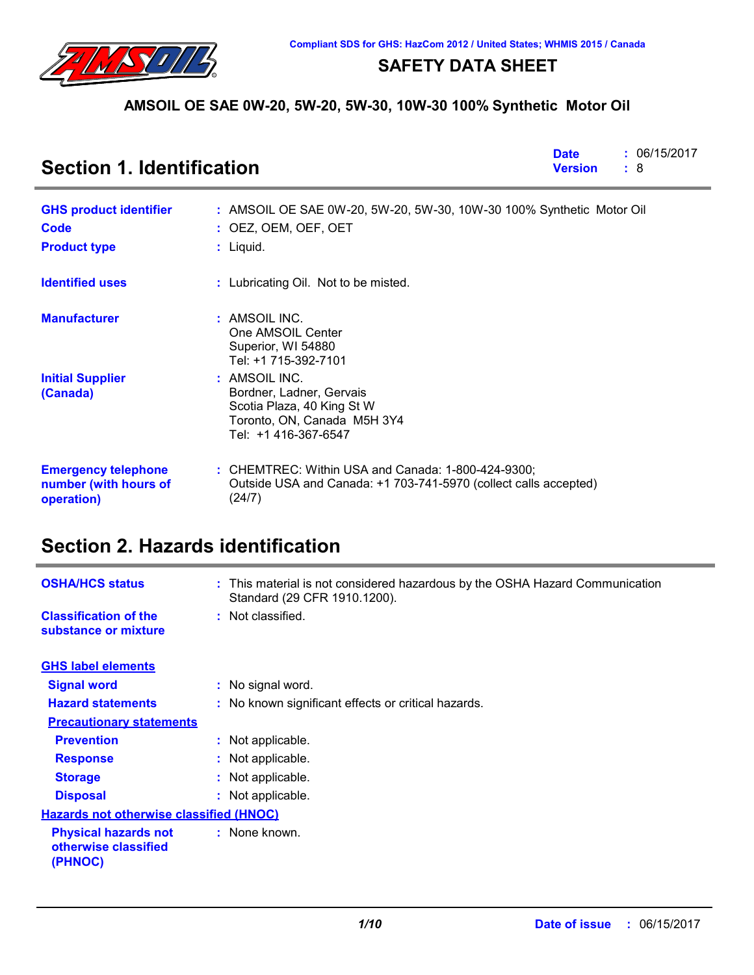

### **SAFETY DATA SHEET**

### **AMSOIL OE SAE 0W-20, 5W-20, 5W-30, 10W-30 100% Synthetic Motor Oil**

| <b>Section 1. Identification</b>                                  |                                                                                                                                    | <b>Date</b><br><b>Version</b> | : 06/15/2017<br>: 8 |
|-------------------------------------------------------------------|------------------------------------------------------------------------------------------------------------------------------------|-------------------------------|---------------------|
| <b>GHS product identifier</b><br>Code<br><b>Product type</b>      | : AMSOIL OE SAE 0W-20, 5W-20, 5W-30, 10W-30 100% Synthetic Motor Oil<br>$:$ OEZ, OEM, OEF, OET<br>$:$ Liquid.                      |                               |                     |
| <b>Identified uses</b>                                            | : Lubricating Oil. Not to be misted.                                                                                               |                               |                     |
| <b>Manufacturer</b>                                               | : AMSOIL INC.<br>One AMSOIL Center<br>Superior, WI 54880<br>Tel: +1 715-392-7101                                                   |                               |                     |
| <b>Initial Supplier</b><br>(Canada)                               | : AMSOIL INC.<br>Bordner, Ladner, Gervais<br>Scotia Plaza, 40 King St W<br>Toronto, ON, Canada M5H 3Y4<br>Tel: +1 416-367-6547     |                               |                     |
| <b>Emergency telephone</b><br>number (with hours of<br>operation) | $:$ CHEMTREC: Within USA and Canada: 1-800-424-9300;<br>Outside USA and Canada: +1 703-741-5970 (collect calls accepted)<br>(24/7) |                               |                     |

# **Section 2. Hazards identification**

| <b>OSHA/HCS status</b>                                         | : This material is not considered hazardous by the OSHA Hazard Communication<br>Standard (29 CFR 1910.1200). |
|----------------------------------------------------------------|--------------------------------------------------------------------------------------------------------------|
| <b>Classification of the</b><br>substance or mixture           | : Not classified.                                                                                            |
|                                                                |                                                                                                              |
| <b>GHS label elements</b>                                      |                                                                                                              |
| <b>Signal word</b>                                             | : No signal word.                                                                                            |
| <b>Hazard statements</b>                                       | : No known significant effects or critical hazards.                                                          |
| <b>Precautionary statements</b>                                |                                                                                                              |
| <b>Prevention</b>                                              | : Not applicable.                                                                                            |
| <b>Response</b>                                                | : Not applicable.                                                                                            |
| <b>Storage</b>                                                 | : Not applicable.                                                                                            |
| <b>Disposal</b>                                                | : Not applicable.                                                                                            |
| <b>Hazards not otherwise classified (HNOC)</b>                 |                                                                                                              |
| <b>Physical hazards not</b><br>otherwise classified<br>(PHNOC) | : None known.                                                                                                |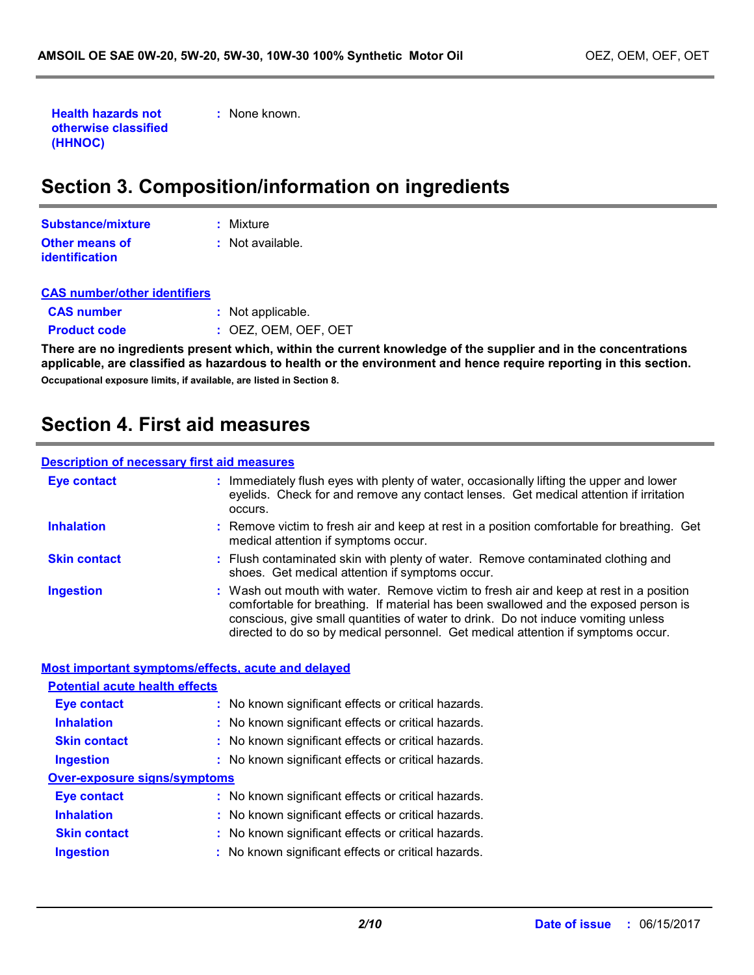**Health hazards not otherwise classified (HHNOC)**

**:** None known.

# **Section 3. Composition/information on ingredients**

| Substance/mixture                              | : Mixture        |
|------------------------------------------------|------------------|
| <b>Other means of</b><br><b>identification</b> | : Not available. |

| <b>CAS number/other identifiers</b> |                        |
|-------------------------------------|------------------------|
| <b>CAS number</b>                   | : Not applicable.      |
| <b>Product code</b>                 | $:$ OEZ. OEM. OEF. OET |

**There are no ingredients present which, within the current knowledge of the supplier and in the concentrations applicable, are classified as hazardous to health or the environment and hence require reporting in this section. Occupational exposure limits, if available, are listed in Section 8.**

### **Section 4. First aid measures**

#### **Description of necessary first aid measures**

| <b>Eye contact</b>  | : Immediately flush eyes with plenty of water, occasionally lifting the upper and lower<br>eyelids. Check for and remove any contact lenses. Get medical attention if irritation<br>occurs.                                                                                                                                                            |
|---------------------|--------------------------------------------------------------------------------------------------------------------------------------------------------------------------------------------------------------------------------------------------------------------------------------------------------------------------------------------------------|
| <b>Inhalation</b>   | : Remove victim to fresh air and keep at rest in a position comfortable for breathing. Get<br>medical attention if symptoms occur.                                                                                                                                                                                                                     |
| <b>Skin contact</b> | : Flush contaminated skin with plenty of water. Remove contaminated clothing and<br>shoes. Get medical attention if symptoms occur.                                                                                                                                                                                                                    |
| <b>Ingestion</b>    | : Wash out mouth with water. Remove victim to fresh air and keep at rest in a position<br>comfortable for breathing. If material has been swallowed and the exposed person is<br>conscious, give small quantities of water to drink. Do not induce vomiting unless<br>directed to do so by medical personnel. Get medical attention if symptoms occur. |

|                                       | <b>Most important symptoms/effects, acute and delayed</b> |
|---------------------------------------|-----------------------------------------------------------|
| <b>Potential acute health effects</b> |                                                           |
| <b>Eye contact</b>                    | : No known significant effects or critical hazards.       |
| <b>Inhalation</b>                     | : No known significant effects or critical hazards.       |
| <b>Skin contact</b>                   | : No known significant effects or critical hazards.       |
| <b>Ingestion</b>                      | : No known significant effects or critical hazards.       |
| <b>Over-exposure signs/symptoms</b>   |                                                           |
| <b>Eve contact</b>                    | : No known significant effects or critical hazards.       |
| <b>Inhalation</b>                     | : No known significant effects or critical hazards.       |
| <b>Skin contact</b>                   | : No known significant effects or critical hazards.       |
| <b>Ingestion</b>                      | : No known significant effects or critical hazards.       |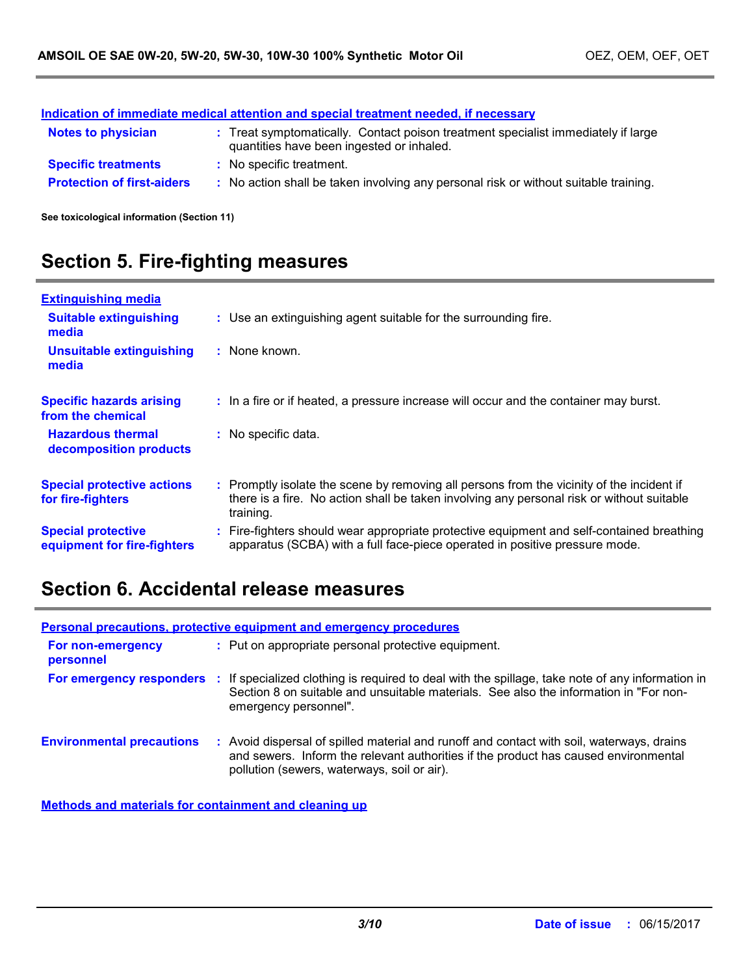|                                   | Indication of immediate medical attention and special treatment needed, if necessary                                           |
|-----------------------------------|--------------------------------------------------------------------------------------------------------------------------------|
| <b>Notes to physician</b>         | : Treat symptomatically. Contact poison treatment specialist immediately if large<br>quantities have been ingested or inhaled. |
| <b>Specific treatments</b>        | : No specific treatment.                                                                                                       |
| <b>Protection of first-aiders</b> | : No action shall be taken involving any personal risk or without suitable training.                                           |

**See toxicological information (Section 11)**

# **Section 5. Fire-fighting measures**

| <b>Extinguishing media</b>                               |                     |                                                                                                                                                                                        |
|----------------------------------------------------------|---------------------|----------------------------------------------------------------------------------------------------------------------------------------------------------------------------------------|
| <b>Suitable extinguishing</b><br>media                   |                     | : Use an extinguishing agent suitable for the surrounding fire.                                                                                                                        |
| <b>Unsuitable extinguishing</b><br>media                 | : None known.       |                                                                                                                                                                                        |
| <b>Specific hazards arising</b><br>from the chemical     |                     | : In a fire or if heated, a pressure increase will occur and the container may burst.                                                                                                  |
| <b>Hazardous thermal</b><br>decomposition products       | : No specific data. |                                                                                                                                                                                        |
| <b>Special protective actions</b><br>for fire-fighters   | training.           | : Promptly isolate the scene by removing all persons from the vicinity of the incident if<br>there is a fire. No action shall be taken involving any personal risk or without suitable |
| <b>Special protective</b><br>equipment for fire-fighters |                     | Fire-fighters should wear appropriate protective equipment and self-contained breathing<br>apparatus (SCBA) with a full face-piece operated in positive pressure mode.                 |

### **Section 6. Accidental release measures**

|                                  | <b>Personal precautions, protective equipment and emergency procedures</b>                                                                                                                                                      |
|----------------------------------|---------------------------------------------------------------------------------------------------------------------------------------------------------------------------------------------------------------------------------|
| For non-emergency<br>personnel   | : Put on appropriate personal protective equipment.                                                                                                                                                                             |
| For emergency responders         | : If specialized clothing is required to deal with the spillage, take note of any information in<br>Section 8 on suitable and unsuitable materials. See also the information in "For non-<br>emergency personnel".              |
| <b>Environmental precautions</b> | : Avoid dispersal of spilled material and runoff and contact with soil, waterways, drains<br>and sewers. Inform the relevant authorities if the product has caused environmental<br>pollution (sewers, waterways, soil or air). |

**Methods and materials for containment and cleaning up**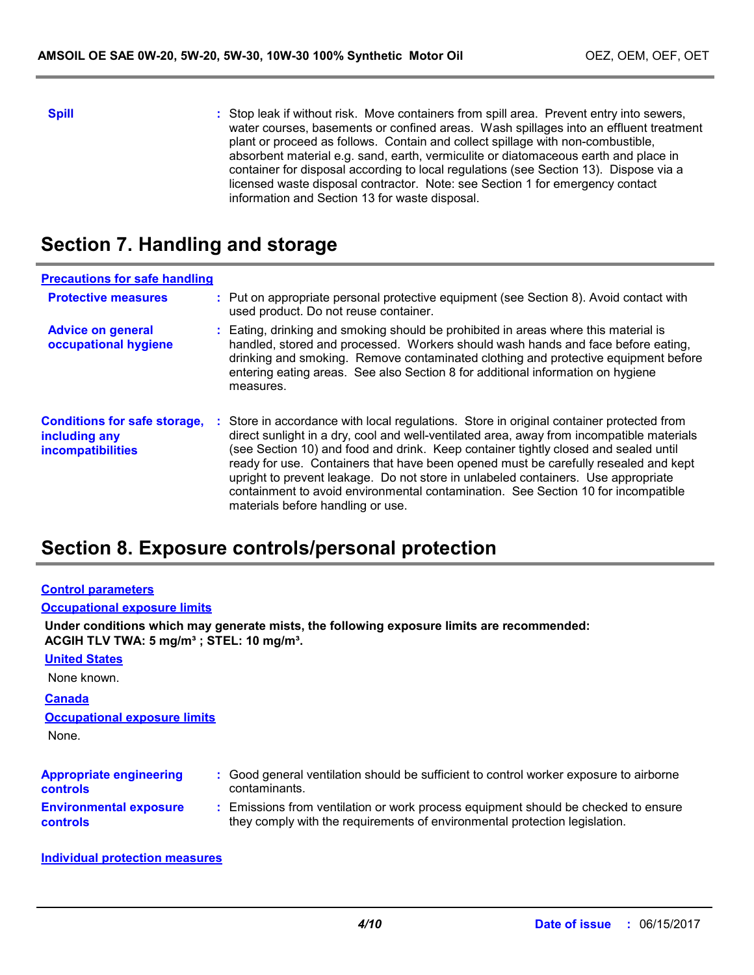**Spill** Stop leak if without risk. Move containers from spill area. Prevent entry into sewers, water courses, basements or confined areas. Wash spillages into an effluent treatment plant or proceed as follows. Contain and collect spillage with non-combustible, absorbent material e.g. sand, earth, vermiculite or diatomaceous earth and place in container for disposal according to local regulations (see Section 13). Dispose via a licensed waste disposal contractor. Note: see Section 1 for emergency contact information and Section 13 for waste disposal.

### **Section 7. Handling and storage**

| <b>Precautions for safe handling</b>                                             |                                                                                                                                                                                                                                                                                                                                                                                                                                                                                                                                                                                    |
|----------------------------------------------------------------------------------|------------------------------------------------------------------------------------------------------------------------------------------------------------------------------------------------------------------------------------------------------------------------------------------------------------------------------------------------------------------------------------------------------------------------------------------------------------------------------------------------------------------------------------------------------------------------------------|
| <b>Protective measures</b>                                                       | : Put on appropriate personal protective equipment (see Section 8). Avoid contact with<br>used product. Do not reuse container.                                                                                                                                                                                                                                                                                                                                                                                                                                                    |
| <b>Advice on general</b><br>occupational hygiene                                 | : Eating, drinking and smoking should be prohibited in areas where this material is<br>handled, stored and processed. Workers should wash hands and face before eating,<br>drinking and smoking. Remove contaminated clothing and protective equipment before<br>entering eating areas. See also Section 8 for additional information on hygiene<br>measures.                                                                                                                                                                                                                      |
| <b>Conditions for safe storage,</b><br>including any<br><b>incompatibilities</b> | : Store in accordance with local regulations. Store in original container protected from<br>direct sunlight in a dry, cool and well-ventilated area, away from incompatible materials<br>(see Section 10) and food and drink. Keep container tightly closed and sealed until<br>ready for use. Containers that have been opened must be carefully resealed and kept<br>upright to prevent leakage. Do not store in unlabeled containers. Use appropriate<br>containment to avoid environmental contamination. See Section 10 for incompatible<br>materials before handling or use. |

### **Section 8. Exposure controls/personal protection**

| <b>Control parameters</b> |
|---------------------------|
|---------------------------|

#### **Occupational exposure limits**

**Under conditions which may generate mists, the following exposure limits are recommended: ACGIH TLV TWA: 5 mg/m³ ; STEL: 10 mg/m³.**

| <b>United States</b>                              |                                                                                                                                                                  |
|---------------------------------------------------|------------------------------------------------------------------------------------------------------------------------------------------------------------------|
| None known.                                       |                                                                                                                                                                  |
| <b>Canada</b>                                     |                                                                                                                                                                  |
| <b>Occupational exposure limits</b>               |                                                                                                                                                                  |
| None.                                             |                                                                                                                                                                  |
| <b>Appropriate engineering</b><br><b>controls</b> | : Good general ventilation should be sufficient to control worker exposure to airborne<br>contaminants.                                                          |
| <b>Environmental exposure</b><br><b>controls</b>  | : Emissions from ventilation or work process equipment should be checked to ensure<br>they comply with the requirements of environmental protection legislation. |

#### **Individual protection measures**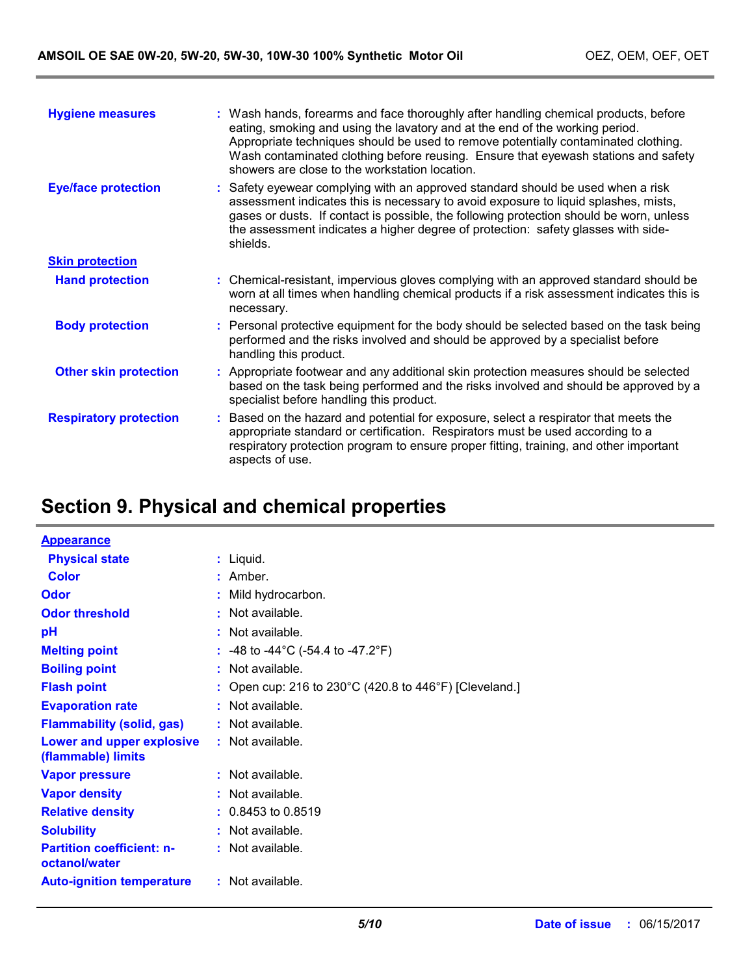| <b>Hygiene measures</b>       | : Wash hands, forearms and face thoroughly after handling chemical products, before<br>eating, smoking and using the lavatory and at the end of the working period.<br>Appropriate techniques should be used to remove potentially contaminated clothing.<br>Wash contaminated clothing before reusing. Ensure that eyewash stations and safety<br>showers are close to the workstation location. |
|-------------------------------|---------------------------------------------------------------------------------------------------------------------------------------------------------------------------------------------------------------------------------------------------------------------------------------------------------------------------------------------------------------------------------------------------|
| <b>Eye/face protection</b>    | : Safety eyewear complying with an approved standard should be used when a risk<br>assessment indicates this is necessary to avoid exposure to liquid splashes, mists,<br>gases or dusts. If contact is possible, the following protection should be worn, unless<br>the assessment indicates a higher degree of protection: safety glasses with side-<br>shields.                                |
| <b>Skin protection</b>        |                                                                                                                                                                                                                                                                                                                                                                                                   |
| <b>Hand protection</b>        | : Chemical-resistant, impervious gloves complying with an approved standard should be<br>worn at all times when handling chemical products if a risk assessment indicates this is<br>necessary.                                                                                                                                                                                                   |
| <b>Body protection</b>        | : Personal protective equipment for the body should be selected based on the task being<br>performed and the risks involved and should be approved by a specialist before<br>handling this product.                                                                                                                                                                                               |
| <b>Other skin protection</b>  | : Appropriate footwear and any additional skin protection measures should be selected<br>based on the task being performed and the risks involved and should be approved by a<br>specialist before handling this product.                                                                                                                                                                         |
| <b>Respiratory protection</b> | : Based on the hazard and potential for exposure, select a respirator that meets the<br>appropriate standard or certification. Respirators must be used according to a<br>respiratory protection program to ensure proper fitting, training, and other important<br>aspects of use.                                                                                                               |

# **Section 9. Physical and chemical properties**

| <b>Appearance</b>                                 |                                                            |
|---------------------------------------------------|------------------------------------------------------------|
| <b>Physical state</b>                             | $:$ Liquid.                                                |
| <b>Color</b>                                      | : Amber.                                                   |
| <b>Odor</b>                                       | : Mild hydrocarbon.                                        |
| <b>Odor threshold</b>                             | : Not available.                                           |
| pH                                                | : Not available.                                           |
| <b>Melting point</b>                              | : $-48$ to $-44^{\circ}$ C ( $-54.4$ to $-47.2^{\circ}$ F) |
| <b>Boiling point</b>                              | $:$ Not available.                                         |
| <b>Flash point</b>                                | : Open cup: 216 to 230°C (420.8 to 446°F) [Cleveland.]     |
| <b>Evaporation rate</b>                           | : Not available.                                           |
| <b>Flammability (solid, gas)</b>                  | $:$ Not available.                                         |
| Lower and upper explosive<br>(flammable) limits   | $:$ Not available.                                         |
| <b>Vapor pressure</b>                             | $:$ Not available.                                         |
| <b>Vapor density</b>                              | : Not available.                                           |
| <b>Relative density</b>                           | $: 0.8453$ to 0.8519                                       |
| <b>Solubility</b>                                 | : Not available.                                           |
| <b>Partition coefficient: n-</b><br>octanol/water | : Not available.                                           |
| <b>Auto-ignition temperature</b>                  | : Not available.                                           |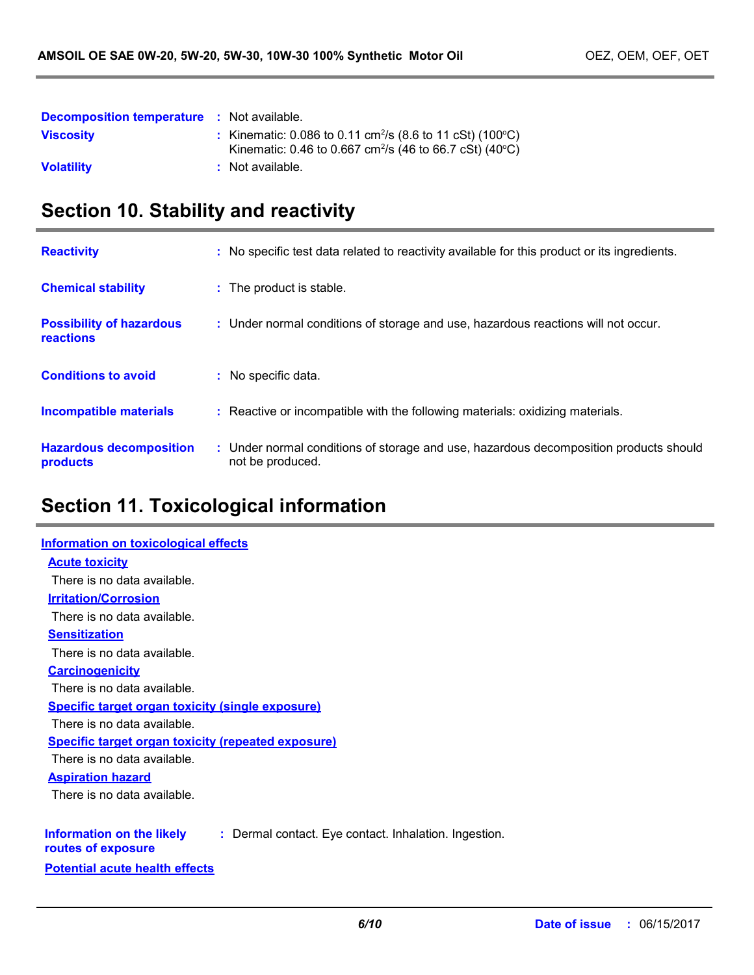| <b>Decomposition temperature : Not available.</b> |                                                                                                                                                                    |
|---------------------------------------------------|--------------------------------------------------------------------------------------------------------------------------------------------------------------------|
| <b>Viscosity</b>                                  | : Kinematic: 0.086 to 0.11 cm <sup>2</sup> /s (8.6 to 11 cSt) (100 $^{\circ}$ C)<br>Kinematic: 0.46 to 0.667 cm <sup>2</sup> /s (46 to 66.7 cSt) (40 $^{\circ}$ C) |
| <b>Volatility</b>                                 | : Not available.                                                                                                                                                   |

# **Section 10. Stability and reactivity**

| <b>Reactivity</b>                            | : No specific test data related to reactivity available for this product or its ingredients.              |
|----------------------------------------------|-----------------------------------------------------------------------------------------------------------|
| <b>Chemical stability</b>                    | : The product is stable.                                                                                  |
| <b>Possibility of hazardous</b><br>reactions | : Under normal conditions of storage and use, hazardous reactions will not occur.                         |
| <b>Conditions to avoid</b>                   | : No specific data.                                                                                       |
| <b>Incompatible materials</b>                | : Reactive or incompatible with the following materials: oxidizing materials.                             |
| <b>Hazardous decomposition</b><br>products   | : Under normal conditions of storage and use, hazardous decomposition products should<br>not be produced. |

# **Section 11. Toxicological information**

| Information on toxicological effects                                                                     |
|----------------------------------------------------------------------------------------------------------|
| <b>Acute toxicity</b>                                                                                    |
| There is no data available.                                                                              |
| <b>Irritation/Corrosion</b>                                                                              |
| There is no data available.                                                                              |
| <b>Sensitization</b>                                                                                     |
| There is no data available.                                                                              |
| <b>Carcinogenicity</b>                                                                                   |
| There is no data available.                                                                              |
| <b>Specific target organ toxicity (single exposure)</b>                                                  |
| There is no data available.                                                                              |
| <b>Specific target organ toxicity (repeated exposure)</b>                                                |
| There is no data available.                                                                              |
| <b>Aspiration hazard</b>                                                                                 |
| There is no data available.                                                                              |
|                                                                                                          |
| Information on the likely<br>: Dermal contact. Eye contact. Inhalation. Ingestion.<br>routes of exposure |
| <b>Potential acute health effects</b>                                                                    |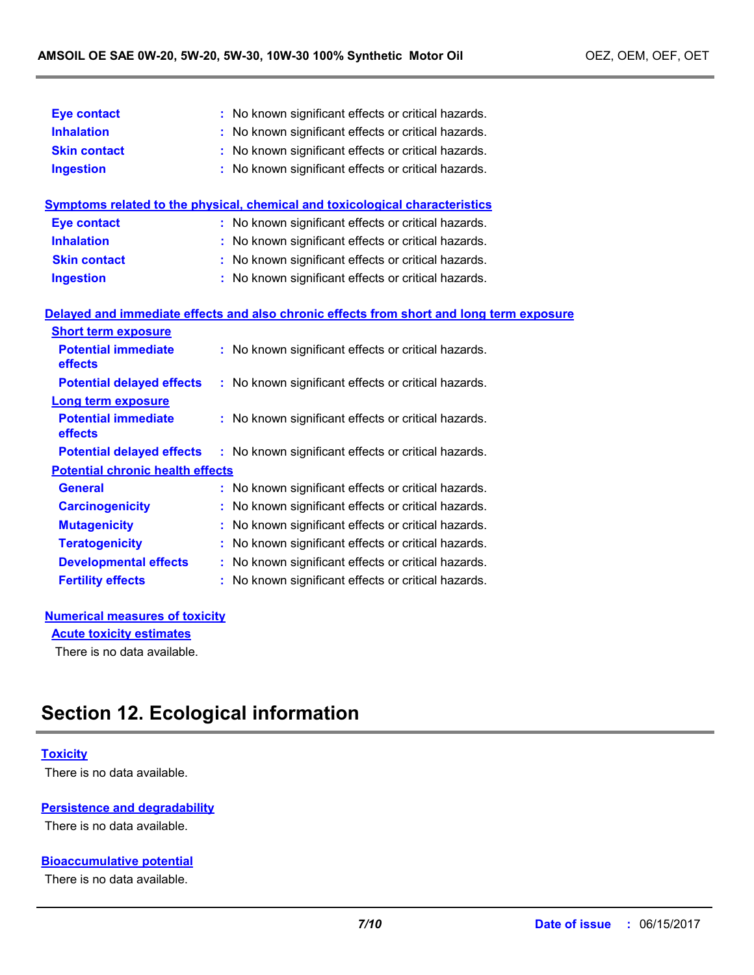| <b>Eye contact</b>                      | : No known significant effects or critical hazards.                                      |  |  |  |
|-----------------------------------------|------------------------------------------------------------------------------------------|--|--|--|
| <b>Inhalation</b>                       | : No known significant effects or critical hazards.                                      |  |  |  |
| <b>Skin contact</b>                     | : No known significant effects or critical hazards.                                      |  |  |  |
| <b>Ingestion</b>                        | No known significant effects or critical hazards.                                        |  |  |  |
|                                         | <b>Symptoms related to the physical, chemical and toxicological characteristics</b>      |  |  |  |
| <b>Eye contact</b>                      | : No known significant effects or critical hazards.                                      |  |  |  |
| <b>Inhalation</b>                       | : No known significant effects or critical hazards.                                      |  |  |  |
| <b>Skin contact</b>                     | : No known significant effects or critical hazards.                                      |  |  |  |
| <b>Ingestion</b>                        | : No known significant effects or critical hazards.                                      |  |  |  |
|                                         | Delayed and immediate effects and also chronic effects from short and long term exposure |  |  |  |
| <b>Short term exposure</b>              |                                                                                          |  |  |  |
| <b>Potential immediate</b><br>effects   | : No known significant effects or critical hazards.                                      |  |  |  |
| <b>Potential delayed effects</b>        | : No known significant effects or critical hazards.                                      |  |  |  |
| <b>Long term exposure</b>               |                                                                                          |  |  |  |
| <b>Potential immediate</b><br>effects   | : No known significant effects or critical hazards.                                      |  |  |  |
| <b>Potential delayed effects</b>        | : No known significant effects or critical hazards.                                      |  |  |  |
| <b>Potential chronic health effects</b> |                                                                                          |  |  |  |
| <b>General</b>                          | : No known significant effects or critical hazards.                                      |  |  |  |
| <b>Carcinogenicity</b>                  | : No known significant effects or critical hazards.                                      |  |  |  |
| <b>Mutagenicity</b>                     | No known significant effects or critical hazards.                                        |  |  |  |
| <b>Teratogenicity</b>                   | : No known significant effects or critical hazards.                                      |  |  |  |
| <b>Developmental effects</b>            | : No known significant effects or critical hazards.                                      |  |  |  |
| <b>Fertility effects</b>                | : No known significant effects or critical hazards.                                      |  |  |  |
|                                         |                                                                                          |  |  |  |

#### **Numerical measures of toxicity Acute toxicity estimates**

There is no data available.

# **Section 12. Ecological information**

#### **Toxicity**

There is no data available.

#### **Persistence and degradability**

There is no data available.

#### **Bioaccumulative potential**

There is no data available.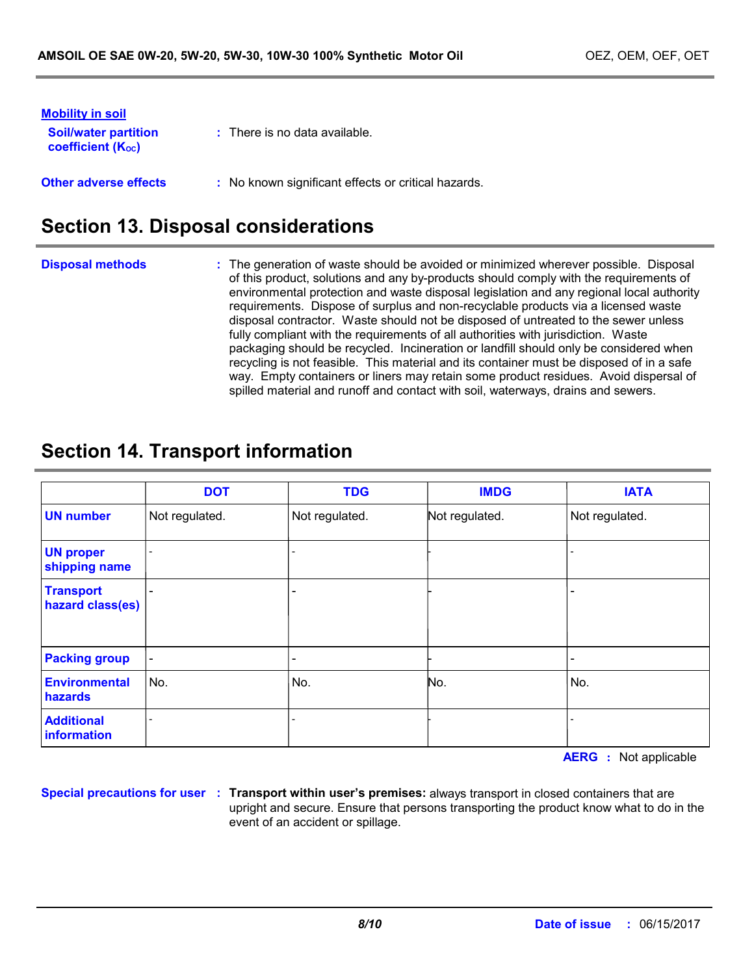| <b>Mobility in soil</b><br><b>Soil/water partition</b><br><b>coefficient (Koc)</b> | $\therefore$ There is no data available.            |
|------------------------------------------------------------------------------------|-----------------------------------------------------|
| <b>Other adverse effects</b>                                                       | : No known significant effects or critical hazards. |

### **Section 13. Disposal considerations**

**Disposal methods :**

The generation of waste should be avoided or minimized wherever possible. Disposal of this product, solutions and any by-products should comply with the requirements of environmental protection and waste disposal legislation and any regional local authority requirements. Dispose of surplus and non-recyclable products via a licensed waste disposal contractor. Waste should not be disposed of untreated to the sewer unless fully compliant with the requirements of all authorities with jurisdiction. Waste packaging should be recycled. Incineration or landfill should only be considered when recycling is not feasible. This material and its container must be disposed of in a safe way. Empty containers or liners may retain some product residues. Avoid dispersal of spilled material and runoff and contact with soil, waterways, drains and sewers.

# **Section 14. Transport information**

|                                      | <b>DOT</b>               | <b>TDG</b>     | <b>IMDG</b>    | <b>IATA</b>    |
|--------------------------------------|--------------------------|----------------|----------------|----------------|
| <b>UN number</b>                     | Not regulated.           | Not regulated. | Not regulated. | Not regulated. |
| <b>UN proper</b><br>shipping name    |                          |                |                |                |
| <b>Transport</b><br>hazard class(es) |                          |                |                |                |
| <b>Packing group</b>                 | $\overline{\phantom{a}}$ | -              |                |                |
| <b>Environmental</b><br>hazards      | No.                      | No.            | No.            | No.            |
| <b>Additional</b><br>information     |                          |                |                |                |

**AERG :** Not applicable

**Special precautions for user Transport within user's premises:** always transport in closed containers that are **:** upright and secure. Ensure that persons transporting the product know what to do in the event of an accident or spillage.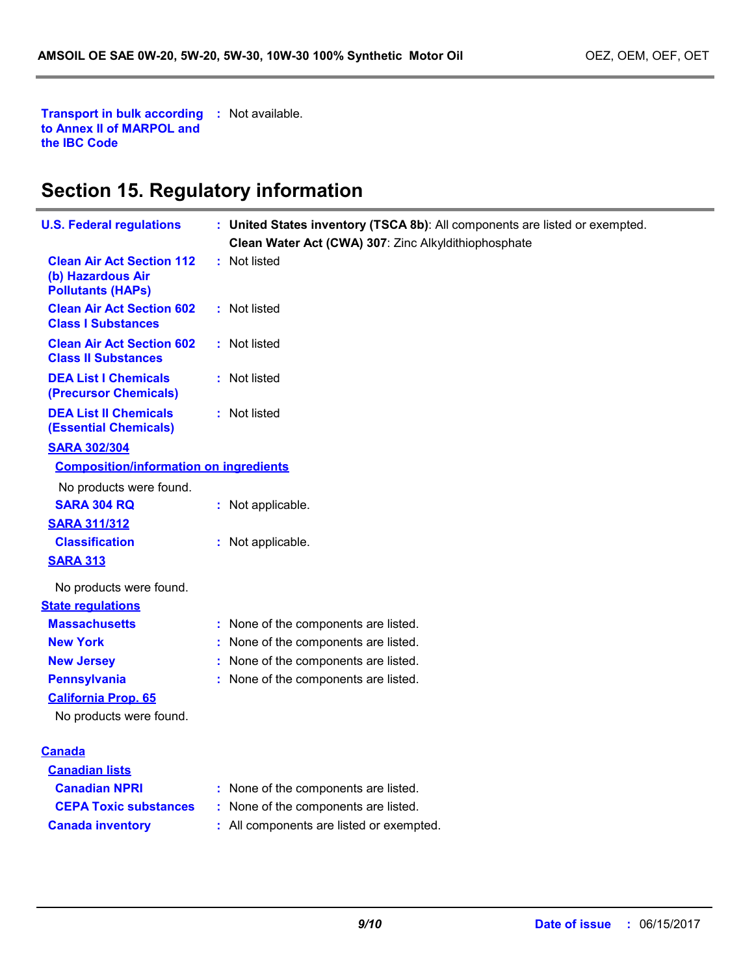**Transport in bulk according :** Not available. **to Annex II of MARPOL and the IBC Code**

i.

# **Section 15. Regulatory information**

| <b>U.S. Federal regulations</b>                                                   | : United States inventory (TSCA 8b): All components are listed or exempted.<br>Clean Water Act (CWA) 307: Zinc Alkyldithiophosphate |  |
|-----------------------------------------------------------------------------------|-------------------------------------------------------------------------------------------------------------------------------------|--|
| <b>Clean Air Act Section 112</b><br>(b) Hazardous Air<br><b>Pollutants (HAPs)</b> | : Not listed                                                                                                                        |  |
| <b>Clean Air Act Section 602</b><br><b>Class I Substances</b>                     | : Not listed                                                                                                                        |  |
| <b>Clean Air Act Section 602</b><br><b>Class II Substances</b>                    | : Not listed                                                                                                                        |  |
| <b>DEA List I Chemicals</b><br>(Precursor Chemicals)                              | : Not listed                                                                                                                        |  |
| <b>DEA List II Chemicals</b><br><b>(Essential Chemicals)</b>                      | : Not listed                                                                                                                        |  |
| <b>SARA 302/304</b>                                                               |                                                                                                                                     |  |
| <b>Composition/information on ingredients</b>                                     |                                                                                                                                     |  |
| No products were found.                                                           |                                                                                                                                     |  |
| <b>SARA 304 RQ</b>                                                                | : Not applicable.                                                                                                                   |  |
| <b>SARA 311/312</b>                                                               |                                                                                                                                     |  |
| <b>Classification</b>                                                             | : Not applicable.                                                                                                                   |  |
| <b>SARA 313</b>                                                                   |                                                                                                                                     |  |
| No products were found.                                                           |                                                                                                                                     |  |
| <b>State regulations</b>                                                          |                                                                                                                                     |  |
| <b>Massachusetts</b>                                                              | : None of the components are listed.                                                                                                |  |
| <b>New York</b>                                                                   | : None of the components are listed.                                                                                                |  |
| <b>New Jersey</b>                                                                 | : None of the components are listed.                                                                                                |  |
| <b>Pennsylvania</b>                                                               | : None of the components are listed.                                                                                                |  |
| <b>California Prop. 65</b>                                                        |                                                                                                                                     |  |
| No products were found.                                                           |                                                                                                                                     |  |
| <b>Canada</b>                                                                     |                                                                                                                                     |  |
| <b>Canadian lists</b>                                                             |                                                                                                                                     |  |
| <b>Canadian NPRI</b>                                                              | : None of the components are listed.                                                                                                |  |
| <b>CEPA Toxic substances</b>                                                      | : None of the components are listed.                                                                                                |  |
| <b>Canada inventory</b>                                                           | : All components are listed or exempted.                                                                                            |  |
|                                                                                   |                                                                                                                                     |  |